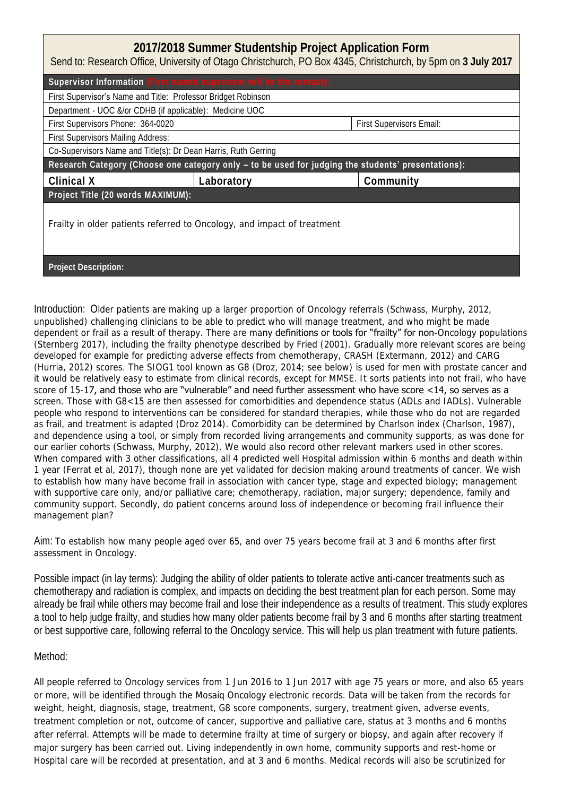| 2017/2018 Summer Studentship Project Application Form<br>Send to: Research Office, University of Otago Christchurch, PO Box 4345, Christchurch, by 5pm on 3 July 2017 |            |                          |  |  |
|-----------------------------------------------------------------------------------------------------------------------------------------------------------------------|------------|--------------------------|--|--|
| Supervisor Information (First named supervisor will be the contact):                                                                                                  |            |                          |  |  |
| First Supervisor's Name and Title: Professor Bridget Robinson                                                                                                         |            |                          |  |  |
| Department - UOC &/or CDHB (if applicable): Medicine UOC                                                                                                              |            |                          |  |  |
| First Supervisors Phone: 364-0020                                                                                                                                     |            | First Supervisors Email: |  |  |
| First Supervisors Mailing Address:                                                                                                                                    |            |                          |  |  |
| Co-Supervisors Name and Title(s): Dr Dean Harris, Ruth Gerring                                                                                                        |            |                          |  |  |
| Research Category (Choose one category only - to be used for judging the students' presentations):                                                                    |            |                          |  |  |
| Clinical X                                                                                                                                                            | Laboratory | Community                |  |  |
| Project Title (20 words MAXIMUM):                                                                                                                                     |            |                          |  |  |
| Frailty in older patients referred to Oncology, and impact of treatment                                                                                               |            |                          |  |  |
| Project Description:                                                                                                                                                  |            |                          |  |  |

Introduction: Older patients are making up a larger proportion of Oncology referrals (Schwass, Murphy, 2012, unpublished) challenging clinicians to be able to predict who will manage treatment, and who might be made dependent or frail as a result of therapy. There are many definitions or tools for "frailty" for non-Oncology populations (Sternberg 2017), including the frailty phenotype described by Fried (2001). Gradually more relevant scores are being developed for example for predicting adverse effects from chemotherapy, CRASH (Extermann, 2012) and CARG (Hurria, 2012) scores. The SIOG1 tool known as G8 (Droz, 2014; see below) is used for men with prostate cancer and it would be relatively easy to estimate from clinical records, except for MMSE. It sorts patients into not frail, who have score of 15-17, and those who are "vulnerable" and need further assessment who have score <14, so serves as a screen. Those with G8<15 are then assessed for comorbidities and dependence status (ADLs and IADLs). Vulnerable people who respond to interventions can be considered for standard therapies, while those who do not are regarded as frail, and treatment is adapted (Droz 2014). Comorbidity can be determined by Charlson index (Charlson, 1987), and dependence using a tool, or simply from recorded living arrangements and community supports, as was done for our earlier cohorts (Schwass, Murphy, 2012). We would also record other relevant markers used in other scores. When compared with 3 other classifications, all 4 predicted well Hospital admission within 6 months and death within 1 year (Ferrat et al, 2017), though none are yet validated for decision making around treatments of cancer. We wish to establish how many have become frail in association with cancer type, stage and expected biology; management with supportive care only, and/or palliative care; chemotherapy, radiation, major surgery; dependence, family and community support. Secondly, do patient concerns around loss of independence or becoming frail influence their management plan?

Aim: To establish how many people aged over 65, and over 75 years become frail at 3 and 6 months after first assessment in Oncology.

Possible impact (in lay terms): Judging the ability of older patients to tolerate active anti-cancer treatments such as chemotherapy and radiation is complex, and impacts on deciding the best treatment plan for each person. Some may already be frail while others may become frail and lose their independence as a results of treatment. This study explores a tool to help judge frailty, and studies how many older patients become frail by 3 and 6 months after starting treatment or best supportive care, following referral to the Oncology service. This will help us plan treatment with future patients.

## Method:

All people referred to Oncology services from 1 Jun 2016 to 1 Jun 2017 with age 75 years or more, and also 65 years or more, will be identified through the Mosaiq Oncology electronic records. Data will be taken from the records for weight, height, diagnosis, stage, treatment, G8 score components, surgery, treatment given, adverse events, treatment completion or not, outcome of cancer, supportive and palliative care, status at 3 months and 6 months after referral. Attempts will be made to determine frailty at time of surgery or biopsy, and again after recovery if major surgery has been carried out. Living independently in own home, community supports and rest-home or Hospital care will be recorded at presentation, and at 3 and 6 months. Medical records will also be scrutinized for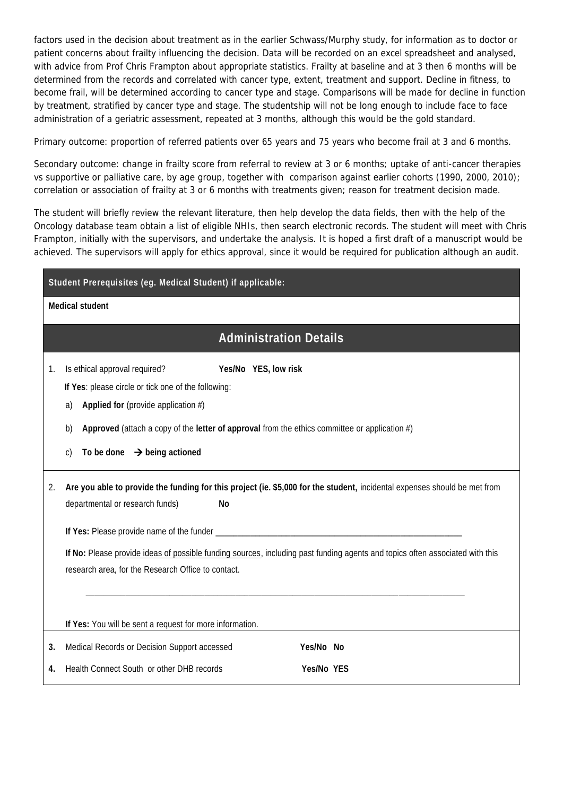factors used in the decision about treatment as in the earlier Schwass/Murphy study, for information as to doctor or patient concerns about frailty influencing the decision. Data will be recorded on an excel spreadsheet and analysed, with advice from Prof Chris Frampton about appropriate statistics. Frailty at baseline and at 3 then 6 months will be determined from the records and correlated with cancer type, extent, treatment and support. Decline in fitness, to become frail, will be determined according to cancer type and stage. Comparisons will be made for decline in function by treatment, stratified by cancer type and stage. The studentship will not be long enough to include face to face administration of a geriatric assessment, repeated at 3 months, although this would be the gold standard.

Primary outcome: proportion of referred patients over 65 years and 75 years who become frail at 3 and 6 months.

Secondary outcome: change in frailty score from referral to review at 3 or 6 months; uptake of anti-cancer therapies vs supportive or palliative care, by age group, together with comparison against earlier cohorts (1990, 2000, 2010); correlation or association of frailty at 3 or 6 months with treatments given; reason for treatment decision made.

The student will briefly review the relevant literature, then help develop the data fields, then with the help of the Oncology database team obtain a list of eligible NHIs, then search electronic records. The student will meet with Chris Frampton, initially with the supervisors, and undertake the analysis. It is hoped a first draft of a manuscript would be achieved. The supervisors will apply for ethics approval, since it would be required for publication although an audit.

| Student Prerequisites (eg. Medical Student) if applicable: |                                                                                                                                                                                                                                                                                                                                                                 |  |  |  |
|------------------------------------------------------------|-----------------------------------------------------------------------------------------------------------------------------------------------------------------------------------------------------------------------------------------------------------------------------------------------------------------------------------------------------------------|--|--|--|
| Medical student                                            |                                                                                                                                                                                                                                                                                                                                                                 |  |  |  |
|                                                            | <b>Administration Details</b>                                                                                                                                                                                                                                                                                                                                   |  |  |  |
| 1.                                                         | Is ethical approval required?<br>Yes/No YES, low risk<br>If Yes: please circle or tick one of the following:<br>Applied for (provide application $#$ )<br>a)                                                                                                                                                                                                    |  |  |  |
|                                                            | Approved (attach a copy of the letter of approval from the ethics committee or application $#$ )<br>b)<br>To be done $\rightarrow$ being actioned<br>$\mathcal{C}$                                                                                                                                                                                              |  |  |  |
| 2.                                                         | Are you able to provide the funding for this project (ie. \$5,000 for the student, incidental expenses should be met from<br>departmental or research funds)<br><b>No</b><br>If No: Please provide ideas of possible funding sources, including past funding agents and topics often associated with this<br>research area, for the Research Office to contact. |  |  |  |
|                                                            | If Yes: You will be sent a request for more information.                                                                                                                                                                                                                                                                                                        |  |  |  |
| 3.<br>4.                                                   | Medical Records or Decision Support accessed<br>Yes/No No<br>Health Connect South or other DHB records<br>Yes/No YES                                                                                                                                                                                                                                            |  |  |  |